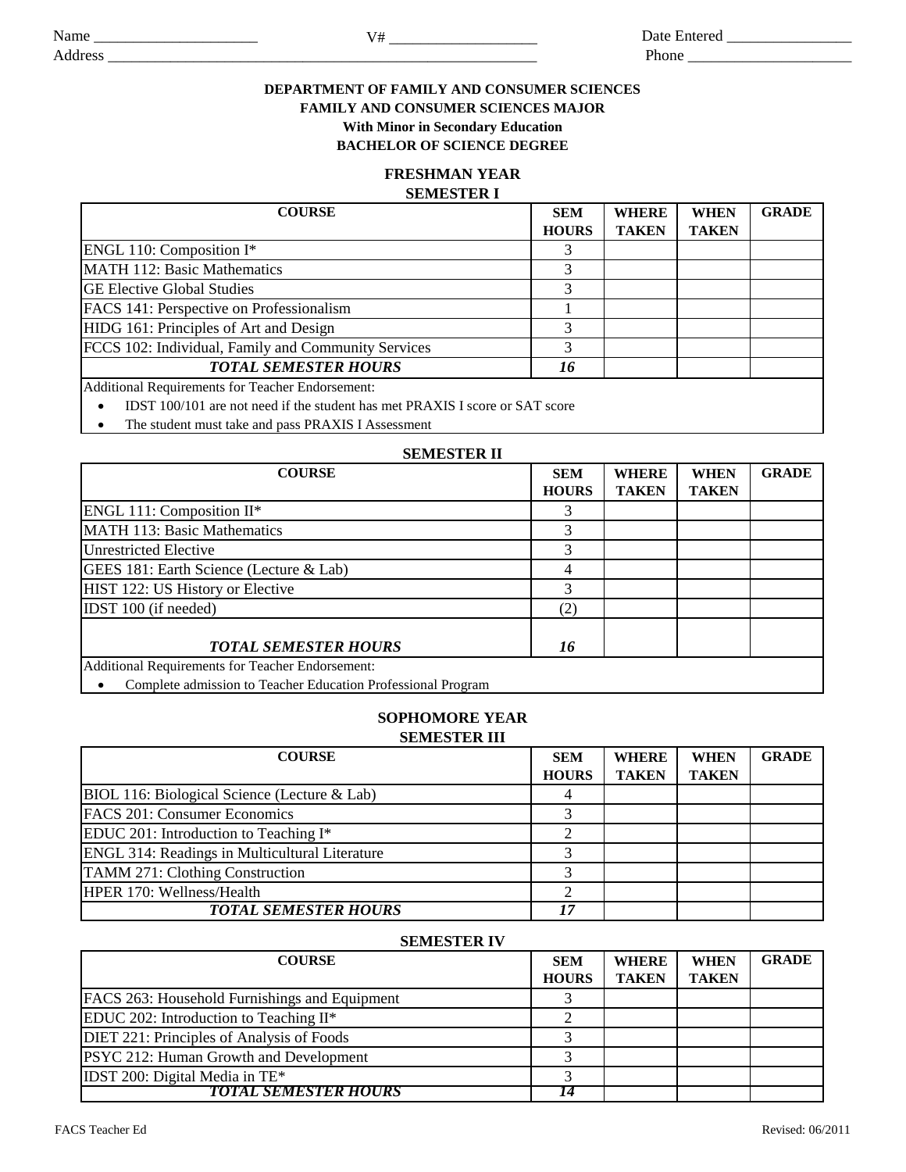Phone \_\_\_\_\_\_\_\_\_\_\_\_\_\_\_\_\_\_\_\_\_

Address \_\_\_\_\_\_\_\_\_\_\_\_\_\_\_\_\_\_\_\_\_\_\_\_\_\_\_\_\_\_\_\_\_\_\_\_\_\_\_\_\_\_\_\_\_\_\_\_\_\_\_\_\_\_\_

## **DEPARTMENT OF FAMILY AND CONSUMER SCIENCES FAMILY AND CONSUMER SCIENCES MAJOR With Minor in Secondary Education**

**BACHELOR OF SCIENCE DEGREE**

# **FRESHMAN YEAR**

## **SEMESTER I**

| <b>COURSE</b>                                       | <b>SEM</b>   | <b>WHERE</b> | <b>WHEN</b>  | <b>GRADE</b> |
|-----------------------------------------------------|--------------|--------------|--------------|--------------|
|                                                     | <b>HOURS</b> | <b>TAKEN</b> | <b>TAKEN</b> |              |
| ENGL 110: Composition I*                            |              |              |              |              |
| MATH 112: Basic Mathematics                         | 3            |              |              |              |
| <b>GE Elective Global Studies</b>                   | 3            |              |              |              |
| FACS 141: Perspective on Professionalism            |              |              |              |              |
| HIDG 161: Principles of Art and Design              | 3            |              |              |              |
| FCCS 102: Individual, Family and Community Services | 2            |              |              |              |
| <b>TOTAL SEMESTER HOURS</b>                         | 16           |              |              |              |
| Additional Requirements for Teacher Endorsement:    |              |              |              |              |

IDST 100/101 are not need if the student has met PRAXIS I score or SAT score

• The student must take and pass PRAXIS I Assessment

### **SEMESTER II**

| <b>COURSE</b>                                                | <b>SEM</b>   | <b>WHERE</b> | <b>WHEN</b>  | <b>GRADE</b> |
|--------------------------------------------------------------|--------------|--------------|--------------|--------------|
|                                                              | <b>HOURS</b> | <b>TAKEN</b> | <b>TAKEN</b> |              |
| ENGL 111: Composition II*                                    | 3            |              |              |              |
| <b>MATH 113: Basic Mathematics</b>                           | 3            |              |              |              |
| <b>Unrestricted Elective</b>                                 | 3            |              |              |              |
| GEES 181: Earth Science (Lecture & Lab)                      | 4            |              |              |              |
| HIST 122: US History or Elective                             | 3            |              |              |              |
| IDST 100 (if needed)                                         | (2)          |              |              |              |
| <b>TOTAL SEMESTER HOURS</b>                                  | 16           |              |              |              |
| Additional Requirements for Teacher Endorsement:             |              |              |              |              |
| Complete admission to Teacher Education Professional Program |              |              |              |              |

Complete admission to Teacher Education Professional Program

## **SOPHOMORE YEAR SEMESTER III**

| <b>COURSE</b>                                  | <b>SEM</b>   | <b>WHERE</b> | <b>WHEN</b>  | <b>GRADE</b> |
|------------------------------------------------|--------------|--------------|--------------|--------------|
|                                                | <b>HOURS</b> | <b>TAKEN</b> | <b>TAKEN</b> |              |
| BIOL 116: Biological Science (Lecture & Lab)   |              |              |              |              |
| FACS 201: Consumer Economics                   |              |              |              |              |
| EDUC 201: Introduction to Teaching I*          |              |              |              |              |
| ENGL 314: Readings in Multicultural Literature |              |              |              |              |
| TAMM 271: Clothing Construction                |              |              |              |              |
| HPER 170: Wellness/Health                      |              |              |              |              |
| <b>TOTAL SEMESTER HOURS</b>                    | 17           |              |              |              |

#### **SEMESTER IV**

| <b>COURSE</b>                                 | <b>SEM</b>   | <b>WHERE</b> | <b>WHEN</b>  | <b>GRADE</b> |
|-----------------------------------------------|--------------|--------------|--------------|--------------|
|                                               | <b>HOURS</b> | <b>TAKEN</b> | <b>TAKEN</b> |              |
| FACS 263: Household Furnishings and Equipment |              |              |              |              |
| EDUC 202: Introduction to Teaching II*        |              |              |              |              |
| DIET 221: Principles of Analysis of Foods     |              |              |              |              |
| PSYC 212: Human Growth and Development        |              |              |              |              |
| IDST 200: Digital Media in $TE*$              |              |              |              |              |
| <b>TOTAL SEMESTER HOURS</b>                   |              |              |              |              |